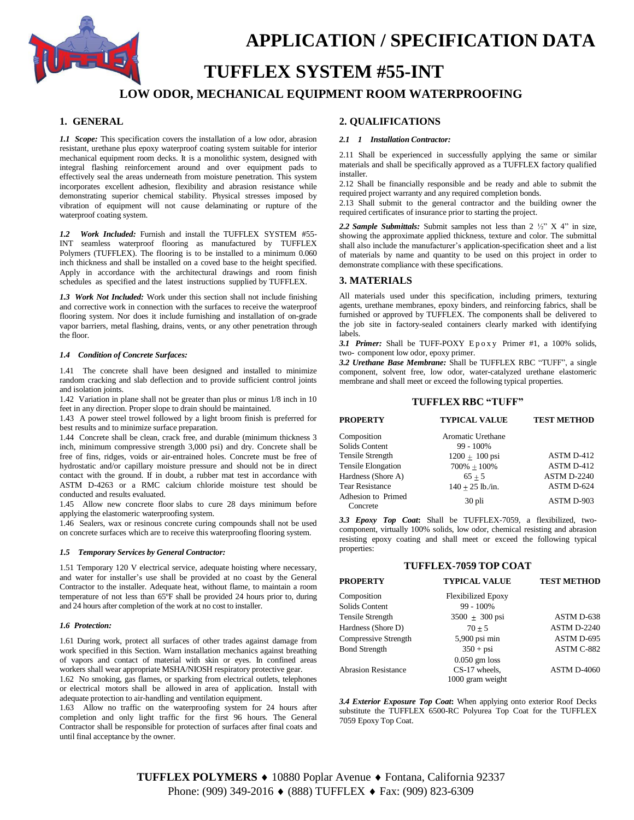

# **APPLICATION / SPECIFICATION DATA**

# **TUFFLEX SYSTEM #55-INT**

## **LOW ODOR, MECHANICAL EQUIPMENT ROOM WATERPROOFING**

### **1. GENERAL**

*1.1 Scope:* This specification covers the installation of a low odor, abrasion resistant, urethane plus epoxy waterproof coating system suitable for interior mechanical equipment room decks. It is a monolithic system, designed with integral flashing reinforcement around and over equipment pads to effectively seal the areas underneath from moisture penetration. This system incorporates excellent adhesion, flexibility and abrasion resistance while demonstrating superior chemical stability. Physical stresses imposed by vibration of equipment will not cause delaminating or rupture of the waterproof coating system.

*1.2 Work Included:* Furnish and install the TUFFLEX SYSTEM #55- INT seamless waterproof flooring as manufactured by TUFFLEX Polymers (TUFFLEX). The flooring is to be installed to a minimum 0.060 inch thickness and shall be installed on a coved base to the height specified. Apply in accordance with the architectural drawings and room finish schedules as specified and the latest instructions supplied by TUFFLEX.

*1.3 Work Not Included:* Work under this section shall not include finishing and corrective work in connection with the surfaces to receive the waterproof flooring system. Nor does it include furnishing and installation of on-grade vapor barriers, metal flashing, drains, vents, or any other penetration through the floor.

#### *1.4 Condition of Concrete Surfaces:*

1.41 The concrete shall have been designed and installed to minimize random cracking and slab deflection and to provide sufficient control joints and isolation joints.

1.42 Variation in plane shall not be greater than plus or minus 1/8 inch in 10 feet in any direction. Proper slope to drain should be maintained.

1.43 A power steel trowel followed by a light broom finish is preferred for best results and to minimize surface preparation.

1.44 Concrete shall be clean, crack free, and durable (minimum thickness 3 inch, minimum compressive strength 3,000 psi) and dry. Concrete shall be free of fins, ridges, voids or air-entrained holes. Concrete must be free of hydrostatic and/or capillary moisture pressure and should not be in direct contact with the ground. If in doubt, a rubber mat test in accordance with ASTM D-4263 or a RMC calcium chloride moisture test should be conducted and results evaluated.

1.45 Allow new concrete floor slabs to cure 28 days minimum before applying the elastomeric waterproofing system.

1.46 Sealers, wax or resinous concrete curing compounds shall not be used on concrete surfaces which are to receive this waterproofing flooring system.

#### *1.5 Temporary Services by General Contractor:*

1.51 Temporary 120 V electrical service, adequate hoisting where necessary, and water for installer's use shall be provided at no coast by the General Contractor to the installer. Adequate heat, without flame, to maintain a room temperature of not less than 65ºF shall be provided 24 hours prior to, during and 24 hours after completion of the work at no cost to installer.

#### *1.6 Protection:*

1.61 During work, protect all surfaces of other trades against damage from work specified in this Section. Warn installation mechanics against breathing of vapors and contact of material with skin or eyes. In confined areas workers shall wear appropriate MSHA/NIOSH respiratory protective gear.

1.62 No smoking, gas flames, or sparking from electrical outlets, telephones or electrical motors shall be allowed in area of application. Install with adequate protection to air-handling and ventilation equipment.

1.63 Allow no traffic on the waterproofing system for 24 hours after completion and only light traffic for the first 96 hours. The General Contractor shall be responsible for protection of surfaces after final coats and until final acceptance by the owner.

### **2. QUALIFICATIONS**

#### *2.1 1 Installation Contractor:*

2.11 Shall be experienced in successfully applying the same or similar materials and shall be specifically approved as a TUFFLEX factory qualified installer.

2.12 Shall be financially responsible and be ready and able to submit the required project warranty and any required completion bonds.

2.13 Shall submit to the general contractor and the building owner the required certificates of insurance prior to starting the project.

*2.2 Sample Submittals:* Submit samples not less than 2 ½" X 4" in size, showing the approximate applied thickness, texture and color. The submittal shall also include the manufacturer's application-specification sheet and a list of materials by name and quantity to be used on this project in order to demonstrate compliance with these specifications.

#### **3. MATERIALS**

All materials used under this specification, including primers, texturing agents, urethane membranes, epoxy binders, and reinforcing fabrics, shall be furnished or approved by TUFFLEX. The components shall be delivered to the job site in factory-sealed containers clearly marked with identifying labels.

3.1 **Primer:** Shall be TUFF-POXY Epoxy Primer #1, a 100% solids, two- component low odor, epoxy primer.

*3.2 Urethane Base Membrane:* Shall be TUFFLEX RBC "TUFF", a single component, solvent free, low odor, water-catalyzed urethane elastomeric membrane and shall meet or exceed the following typical properties.

#### **TUFFLEX RBC "TUFF"**

| <b>PROPERTY</b>                | <b>TYPICAL VALUE</b>        | <b>TEST METHOD</b> |
|--------------------------------|-----------------------------|--------------------|
| Composition                    | Aromatic Urethane           |                    |
| Solids Content                 | $99 - 100\%$                |                    |
| Tensile Strength               | $1200 \pm 100 \,\text{psi}$ | ASTM D-412         |
| <b>Tensile Elongation</b>      | $700\% + 100\%$             | ASTM D-412         |
| Hardness (Shore A)             | $65 + 5$                    | ASTM D-2240        |
| <b>Tear Resistance</b>         | $140 \pm 25$ lb./in.        | ASTM D-624         |
| Adhesion to Primed<br>Concrete | 30 pli                      | ASTM D-903         |

*3.3 Epoxy Top Coat***:** Shall be TUFFLEX-7059, a flexibilized, twocomponent, virtually 100% solids, low odor, chemical resisting and abrasion resisting epoxy coating and shall meet or exceed the following typical properties:

#### **TUFFLEX-7059 TOP COAT**

| <b>PROPERTY</b>            | <b>TYPICAL VALUE</b>        | <b>TEST METHOD</b> |
|----------------------------|-----------------------------|--------------------|
| Composition                | <b>Flexibilized Epoxy</b>   |                    |
| Solids Content             | 99 - 100%                   |                    |
| Tensile Strength           | $3500 \pm 300 \,\text{psi}$ | ASTM D-638         |
| Hardness (Shore D)         | $70 + 5$                    | <b>ASTM D-2240</b> |
| Compressive Strength       | $5,900$ psi min             | ASTM D-695         |
| <b>Bond Strength</b>       | $350 + psi$                 | ASTM C-882         |
|                            | $0.050$ gm loss             |                    |
| <b>Abrasion Resistance</b> | CS-17 wheels,               | <b>ASTM D-4060</b> |
|                            | 1000 gram weight            |                    |

*3.4 Exterior Exposure Top Coat***:** When applying onto exterior Roof Decks substitute the TUFFLEX 6500-RC Polyurea Top Coat for the TUFFLEX 7059 Epoxy Top Coat.

TUFFLEX POLYMERS ♦ 10880 Poplar Avenue ♦ Fontana, California 92337 Phone: (909) 349-2016 ♦ (888) TUFFLEX ♦ Fax: (909) 823-6309